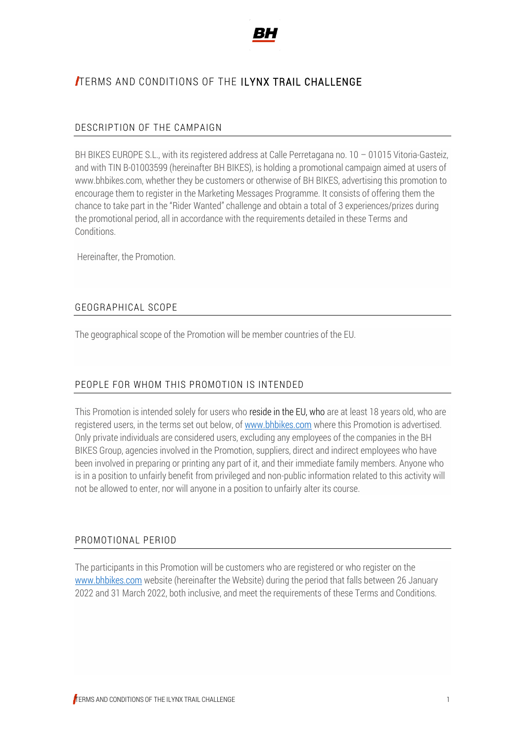

# TERMS AND CONDITIONS OF THE ILYNX TRAIL CHALLENGE

#### DESCRIPTION OF THE CAMPAIGN

BH BIKES EUROPE S.L., with its registered address at Calle Perretagana no. 10 - 01015 Vitoria-Gasteiz, and with TIN B-01003599 (hereinafter BH BIKES), is holding a promotional campaign aimed at users of www.bhbikes.com, whether they be customers or otherwise of BH BIKES, advertising this promotion to encourage them to register in the Marketing Messages Programme. It consists of offering them the chance to take part in the "Rider Wanted" challenge and obtain a total of 3 experiences/prizes during the promotional period, all in accordance with the requirements detailed in these Terms and Conditions.

Hereinafter, the Promotion.

#### GEOGRAPHICAL SCOPE

The geographical scope of the Promotion will be member countries of the EU.

#### PEOPLE FOR WHOM THIS PROMOTION IS INTENDED

This Promotion is intended solely for users who reside in the EU, who are at least 18 years old, who are registered users, in the terms set out below, o[f www.bhbikes.com](http://www.bhbikes.com/) where this Promotion is advertised. Only private individuals are considered users, excluding any employees of the companies in the BH BIKES Group, agencies involved in the Promotion, suppliers, direct and indirect employees who have been involved in preparing or printing any part of it, and their immediate family members. Anyone who is in a position to unfairly benefit from privileged and non-public information related to this activity will not be allowed to enter, nor will anyone in a position to unfairly alter its course.

#### PROMOTIONAL PERIOD

The participants in this Promotion will be customers who are registered or who register on the [www.bhbikes.com](http://www.bhbikes.com/) website (hereinafter the Website) during the period that falls between 26 January 2022 and 31 March 2022, both inclusive, and meet the requirements of these Terms and Conditions.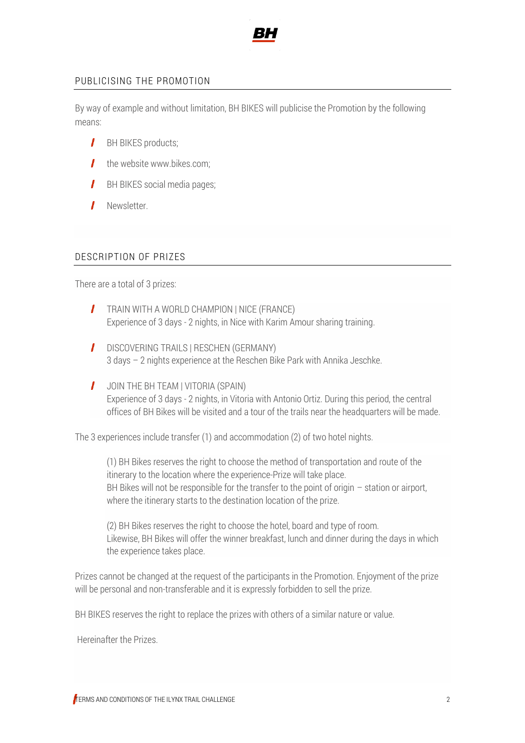

#### PUBLICISING THE PROMOTION

By way of example and without limitation, BH BIKES will publicise the Promotion by the following means:

- **I** BH BIKES products:
- $\mathbf{I}$  the website www.bikes.com;
- $\mathbf{I}$ BH BIKES social media pages;
- $\mathbf{I}$ Newsletter.

#### DESCRIPTION OF PRIZES

There are a total of 3 prizes:

- **TRAIN WITH A WORLD CHAMPION | NICE (FRANCE)** Experience of 3 days - 2 nights, in Nice with Karim Amour sharing training.
- **I** DISCOVERING TRAILS | RESCHEN (GERMANY) 3 days – 2 nights experience at the Reschen Bike Park with Annika Jeschke.
- $\mathbf{I}$ JOIN THE BH TEAM | VITORIA (SPAIN) Experience of 3 days - 2 nights, in Vitoria with Antonio Ortiz. During this period, the central offices of BH Bikes will be visited and a tour of the trails near the headquarters will be made.

The 3 experiences include transfer (1) and accommodation (2) of two hotel nights.

(1) BH Bikes reserves the right to choose the method of transportation and route of the itinerary to the location where the experience-Prize will take place. BH Bikes will not be responsible for the transfer to the point of origin  $-$  station or airport, where the itinerary starts to the destination location of the prize.

(2) BH Bikes reserves the right to choose the hotel, board and type of room. Likewise, BH Bikes will offer the winner breakfast, lunch and dinner during the days in which the experience takes place.

Prizes cannot be changed at the request of the participants in the Promotion. Enjoyment of the prize will be personal and non-transferable and it is expressly forbidden to sell the prize.

BH BIKES reserves the right to replace the prizes with others of a similar nature or value.

Hereinafter the Prizes.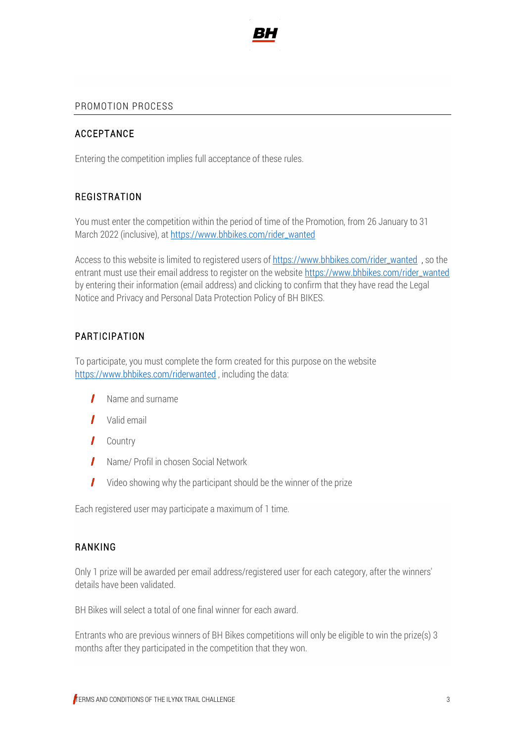

#### PROMOTION PROCESS

#### ACCEPTANCE

Entering the competition implies full acceptance of these rules.

#### **REGISTRATION**

You must enter the competition within the period of time of the Promotion, from 26 January to 31 March 2022 (inclusive), a[t https://www.bhbikes.com/rider\\_wanted](https://www.bhbikes.com/rider_wanted)

Access to this website is limited to registered users o[f https://www.bhbikes.com/rider\\_wanted](https://www.bhbikes.com/rider_wanted) , so the entrant must use their email address to register on the website https://www.bhbikes.com/rider\_wanted by entering their information (email address) and clicking to confirm that they have read the Legal Notice and Privacy and Personal Data Protection Policy of BH BIKES.

### PARTICIPATION

To participate, you must complete the form created for this purpose on the website <https://www.bhbikes.com/riderwanted>, including the data:

- $\mathbf{I}$ Name and surname
- **I** Valid email
- **I** Country
- Name/ Profil in chosen Social Network
- $\mathbf{I}$ Video showing why the participant should be the winner of the prize

Each registered user may participate a maximum of 1 time.

#### RANKING

Only 1 prize will be awarded per email address/registered user for each category, after the winners' details have been validated.

BH Bikes will select a total of one final winner for each award.

Entrants who are previous winners of BH Bikes competitions will only be eligible to win the prize(s) 3 months after they participated in the competition that they won.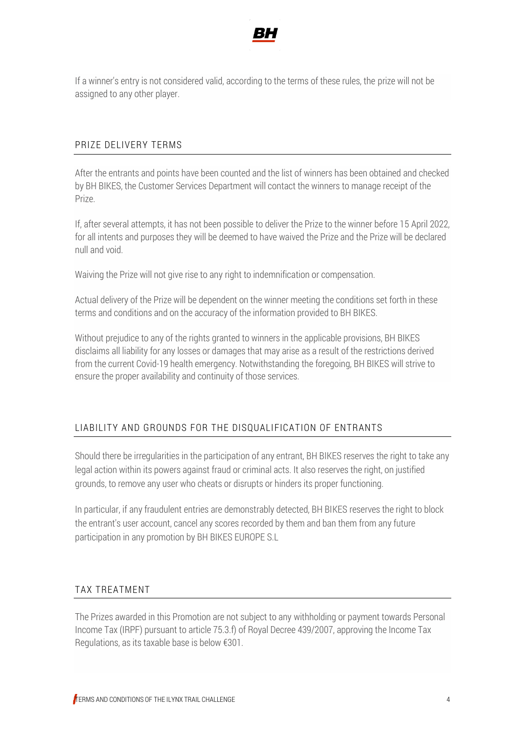

If a winner's entry is not considered valid, according to the terms of these rules, the prize will not be assigned to any other player.

### PRIZE DELIVERY TERMS

After the entrants and points have been counted and the list of winners has been obtained and checked by BH BIKES, the Customer Services Department will contact the winners to manage receipt of the Prize.

If, after several attempts, it has not been possible to deliver the Prize to the winner before 15 April 2022, for all intents and purposes they will be deemed to have waived the Prize and the Prize will be declared null and void.

Waiving the Prize will not give rise to any right to indemnification or compensation.

Actual delivery of the Prize will be dependent on the winner meeting the conditions set forth in these terms and conditions and on the accuracy of the information provided to BH BIKES.

Without prejudice to any of the rights granted to winners in the applicable provisions, BH BIKES disclaims all liability for any losses or damages that may arise as a result of the restrictions derived from the current Covid-19 health emergency. Notwithstanding the foregoing, BH BIKES will strive to ensure the proper availability and continuity of those services.

## LIABILITY AND GROUNDS FOR THE DISQUALIFICATION OF ENTRANTS

Should there be irregularities in the participation of any entrant, BH BIKES reserves the right to take any legal action within its powers against fraud or criminal acts. It also reserves the right, on justified grounds, to remove any user who cheats or disrupts or hinders its proper functioning.

In particular, if any fraudulent entries are demonstrably detected, BH BIKES reserves the right to block the entrant's user account, cancel any scores recorded by them and ban them from any future participation in any promotion by BH BIKES EUROPE S.L

## TAX TREATMENT

The Prizes awarded in this Promotion are not subject to any withholding or payment towards Personal Income Tax (IRPF) pursuant to article 75.3.f) of Royal Decree 439/2007, approving the Income Tax Regulations, as its taxable base is below €301.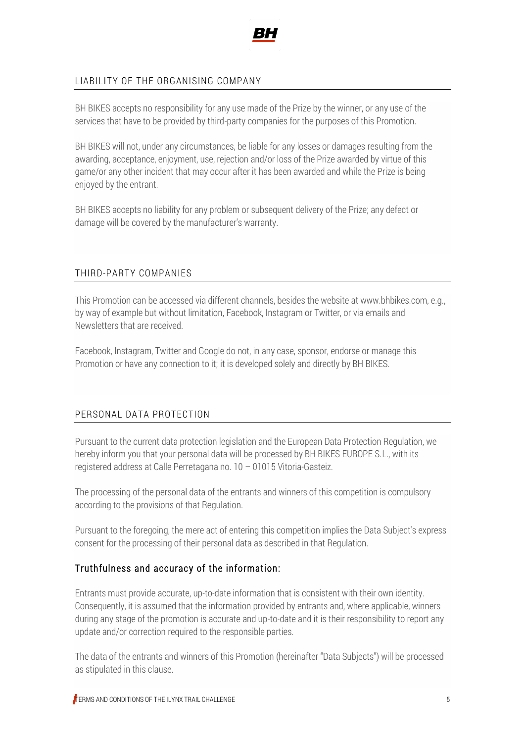

### LIABILITY OF THE ORGANISING COMPANY

BH BIKES accepts no responsibility for any use made of the Prize by the winner, or any use of the services that have to be provided by third-party companies for the purposes of this Promotion.

BH BIKES will not, under any circumstances, be liable for any losses or damages resulting from the awarding, acceptance, enjoyment, use, rejection and/or loss of the Prize awarded by virtue of this game/or any other incident that may occur after it has been awarded and while the Prize is being enjoyed by the entrant.

BH BIKES accepts no liability for any problem or subsequent delivery of the Prize; any defect or damage will be covered by the manufacturer's warranty.

## THIRD-PARTY COMPANIES

This Promotion can be accessed via different channels, besides the website at www.bhbikes.com, e.g., by way of example but without limitation, Facebook, Instagram or Twitter, or via emails and Newsletters that are received.

Facebook, Instagram, Twitter and Google do not, in any case, sponsor, endorse or manage this Promotion or have any connection to it; it is developed solely and directly by BH BIKES.

#### PERSONAL DATA PROTECTION

Pursuant to the current data protection legislation and the European Data Protection Regulation, we hereby inform you that your personal data will be processed by BH BIKES EUROPE S.L., with its registered address at Calle Perretagana no. 10 – 01015 Vitoria-Gasteiz.

The processing of the personal data of the entrants and winners of this competition is compulsory according to the provisions of that Regulation.

Pursuant to the foregoing, the mere act of entering this competition implies the Data Subject's express consent for the processing of their personal data as described in that Regulation.

#### Truthfulness and accuracy of the information:

Entrants must provide accurate, up-to-date information that is consistent with their own identity. Consequently, it is assumed that the information provided by entrants and, where applicable, winners during any stage of the promotion is accurate and up-to-date and it is their responsibility to report any update and/or correction required to the responsible parties.

The data of the entrants and winners of this Promotion (hereinafter "Data Subjects") will be processed as stipulated in this clause.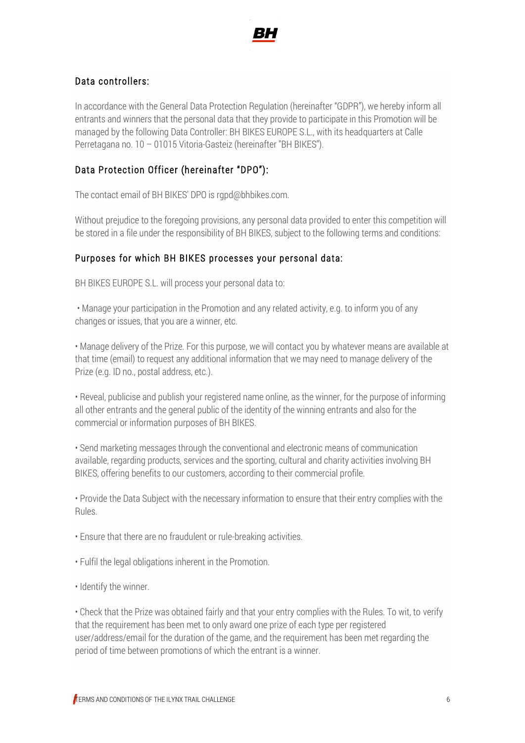

### Data controllers:

In accordance with the General Data Protection Regulation (hereinafter "GDPR"), we hereby inform all entrants and winners that the personal data that they provide to participate in this Promotion will be managed by the following Data Controller: BH BIKES EUROPE S.L., with its headquarters at Calle Perretagana no. 10 – 01015 Vitoria-Gasteiz (hereinafter "BH BIKES").

### Data Protection Officer (hereinafter "DPO"):

The contact email of BH BIKES' DPO is rgpd@bhbikes.com.

Without prejudice to the foregoing provisions, any personal data provided to enter this competition will be stored in a file under the responsibility of BH BIKES, subject to the following terms and conditions:

### Purposes for which BH BIKES processes your personal data:

BH BIKES EUROPE S.L. will process your personal data to:

• Manage your participation in the Promotion and any related activity, e.g. to inform you of any changes or issues, that you are a winner, etc.

• Manage delivery of the Prize. For this purpose, we will contact you by whatever means are available at that time (email) to request any additional information that we may need to manage delivery of the Prize (e.g. ID no., postal address, etc.).

• Reveal, publicise and publish your registered name online, as the winner, for the purpose of informing all other entrants and the general public of the identity of the winning entrants and also for the commercial or information purposes of BH BIKES.

• Send marketing messages through the conventional and electronic means of communication available, regarding products, services and the sporting, cultural and charity activities involving BH BIKES, offering benefits to our customers, according to their commercial profile.

• Provide the Data Subject with the necessary information to ensure that their entry complies with the Rules.

• Ensure that there are no fraudulent or rule-breaking activities.

- Fulfil the legal obligations inherent in the Promotion.
- Identify the winner.

• Check that the Prize was obtained fairly and that your entry complies with the Rules. To wit, to verify that the requirement has been met to only award one prize of each type per registered user/address/email for the duration of the game, and the requirement has been met regarding the period of time between promotions of which the entrant is a winner.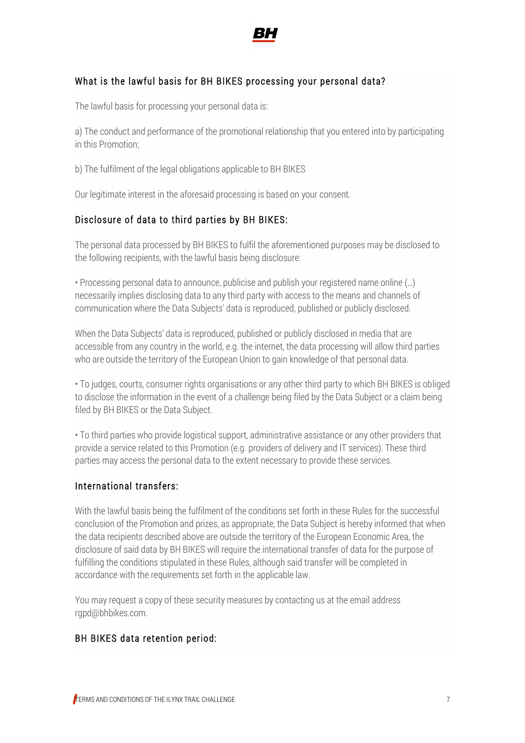

## What is the lawful basis for BH BIKES processing your personal data?

The lawful basis for processing your personal data is:

a) The conduct and performance of the promotional relationship that you entered into by participating in this Promotion;

b) The fulfilment of the legal obligations applicable to BH BIKES

Our legitimate interest in the aforesaid processing is based on your consent.

## Disclosure of data to third parties by BH BIKES:

The personal data processed by BH BIKES to fulfil the aforementioned purposes may be disclosed to the following recipients, with the lawful basis being disclosure:

• Processing personal data to announce, publicise and publish your registered name online (…) necessarily implies disclosing data to any third party with access to the means and channels of communication where the Data Subjects' data is reproduced, published or publicly disclosed.

When the Data Subjects' data is reproduced, published or publicly disclosed in media that are accessible from any country in the world, e.g. the internet, the data processing will allow third parties who are outside the territory of the European Union to gain knowledge of that personal data.

• To judges, courts, consumer rights organisations or any other third party to which BH BIKES is obliged to disclose the information in the event of a challenge being filed by the Data Subject or a claim being filed by BH BIKES or the Data Subject.

• To third parties who provide logistical support, administrative assistance or any other providers that provide a service related to this Promotion (e.g. providers of delivery and IT services). These third parties may access the personal data to the extent necessary to provide these services.

## International transfers:

With the lawful basis being the fulfilment of the conditions set forth in these Rules for the successful conclusion of the Promotion and prizes, as appropriate, the Data Subject is hereby informed that when the data recipients described above are outside the territory of the European Economic Area, the disclosure of said data by BH BIKES will require the international transfer of data for the purpose of fulfilling the conditions stipulated in these Rules, although said transfer will be completed in accordance with the requirements set forth in the applicable law.

You may request a copy of these security measures by contacting us at the email address rgpd@bhbikes.com.

#### BH BIKES data retention period: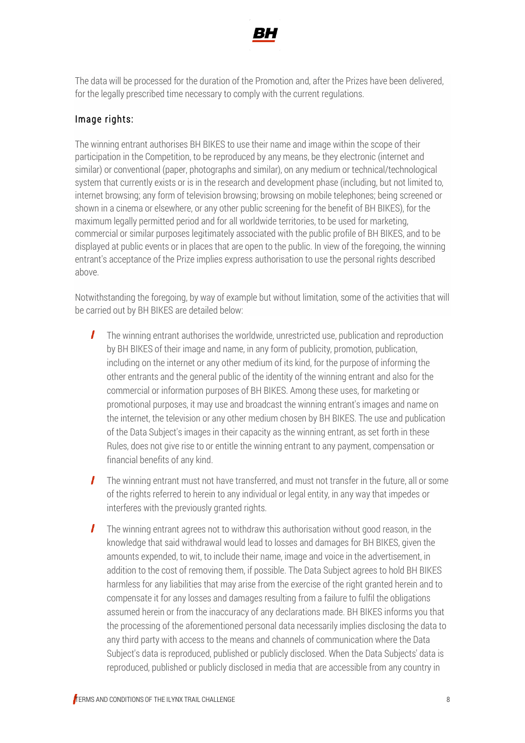

The data will be processed for the duration of the Promotion and, after the Prizes have been delivered, for the legally prescribed time necessary to comply with the current regulations.

## Image rights:

The winning entrant authorises BH BIKES to use their name and image within the scope of their participation in the Competition, to be reproduced by any means, be they electronic (internet and similar) or conventional (paper, photographs and similar), on any medium or technical/technological system that currently exists or is in the research and development phase (including, but not limited to, internet browsing; any form of television browsing; browsing on mobile telephones; being screened or shown in a cinema or elsewhere, or any other public screening for the benefit of BH BIKES), for the maximum legally permitted period and for all worldwide territories, to be used for marketing, commercial or similar purposes legitimately associated with the public profile of BH BIKES, and to be displayed at public events or in places that are open to the public. In view of the foregoing, the winning entrant's acceptance of the Prize implies express authorisation to use the personal rights described above.

Notwithstanding the foregoing, by way of example but without limitation, some of the activities that will be carried out by BH BIKES are detailed below:

- The winning entrant authorises the worldwide, unrestricted use, publication and reproduction L by BH BIKES of their image and name, in any form of publicity, promotion, publication, including on the internet or any other medium of its kind, for the purpose of informing the other entrants and the general public of the identity of the winning entrant and also for the commercial or information purposes of BH BIKES. Among these uses, for marketing or promotional purposes, it may use and broadcast the winning entrant's images and name on the internet, the television or any other medium chosen by BH BIKES. The use and publication of the Data Subject's images in their capacity as the winning entrant, as set forth in these Rules, does not give rise to or entitle the winning entrant to any payment, compensation or financial benefits of any kind.
- $\mathcal{L}$ The winning entrant must not have transferred, and must not transfer in the future, all or some of the rights referred to herein to any individual or legal entity, in any way that impedes or interferes with the previously granted rights.
- The winning entrant agrees not to withdraw this authorisation without good reason, in the  $\mathbf{I}$ knowledge that said withdrawal would lead to losses and damages for BH BIKES, given the amounts expended, to wit, to include their name, image and voice in the advertisement, in addition to the cost of removing them, if possible. The Data Subject agrees to hold BH BIKES harmless for any liabilities that may arise from the exercise of the right granted herein and to compensate it for any losses and damages resulting from a failure to fulfil the obligations assumed herein or from the inaccuracy of any declarations made. BH BIKES informs you that the processing of the aforementioned personal data necessarily implies disclosing the data to any third party with access to the means and channels of communication where the Data Subject's data is reproduced, published or publicly disclosed. When the Data Subjects' data is reproduced, published or publicly disclosed in media that are accessible from any country in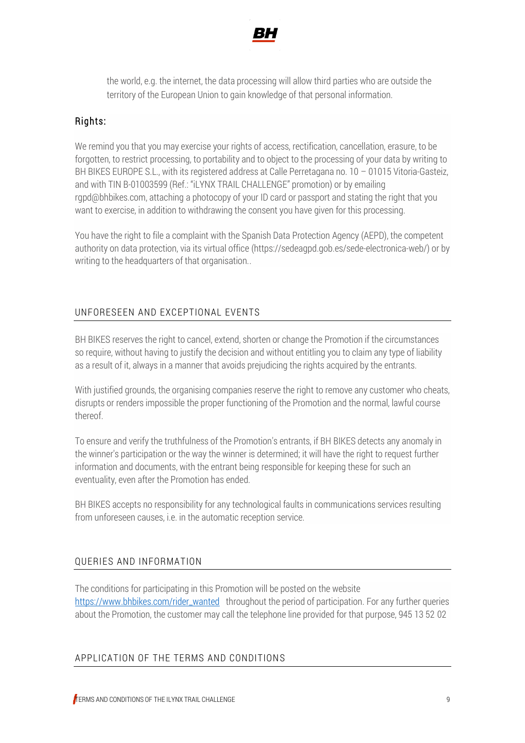

the world, e.g. the internet, the data processing will allow third parties who are outside the territory of the European Union to gain knowledge of that personal information.

### Rights:

We remind you that you may exercise your rights of access, rectification, cancellation, erasure, to be forgotten, to restrict processing, to portability and to object to the processing of your data by writing to BH BIKES EUROPE S.L., with its registered address at Calle Perretagana no. 10 – 01015 Vitoria-Gasteiz, and with TIN B-01003599 (Ref.: "iLYNX TRAIL CHALLENGE" promotion) or by emailing rgpd@bhbikes.com, attaching a photocopy of your ID card or passport and stating the right that you want to exercise, in addition to withdrawing the consent you have given for this processing.

You have the right to file a complaint with the Spanish Data Protection Agency (AEPD), the competent authority on data protection, via its virtual office (https://sedeagpd.gob.es/sede-electronica-web/) or by writing to the headquarters of that organisation..

### UNFORESEEN AND EXCEPTIONAL EVENTS

BH BIKES reserves the right to cancel, extend, shorten or change the Promotion if the circumstances so require, without having to justify the decision and without entitling you to claim any type of liability as a result of it, always in a manner that avoids prejudicing the rights acquired by the entrants.

With justified grounds, the organising companies reserve the right to remove any customer who cheats, disrupts or renders impossible the proper functioning of the Promotion and the normal, lawful course thereof.

To ensure and verify the truthfulness of the Promotion's entrants, if BH BIKES detects any anomaly in the winner's participation or the way the winner is determined; it will have the right to request further information and documents, with the entrant being responsible for keeping these for such an eventuality, even after the Promotion has ended.

BH BIKES accepts no responsibility for any technological faults in communications services resulting from unforeseen causes, i.e. in the automatic reception service.

## QUERIES AND INFORMATION

The conditions for participating in this Promotion will be posted on the website [https://www.bhbikes.com/rider\\_wanted](https://www.bhbikes.com/rider_wanted) throughout the period of participation. For any further queries about the Promotion, the customer may call the telephone line provided for that purpose, 945 13 52 02

#### APPLICATION OF THE TERMS AND CONDITIONS